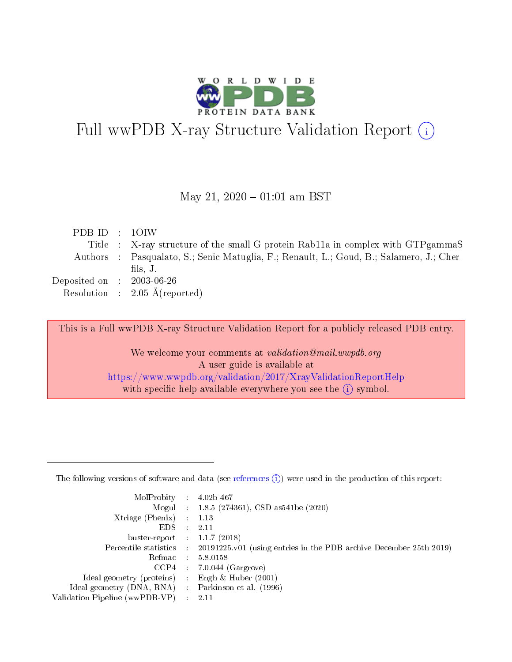

# Full wwPDB X-ray Structure Validation Report (i)

#### May 21,  $2020 - 01:01$  am BST

| PDBID : 10IW                   |                                                                                          |
|--------------------------------|------------------------------------------------------------------------------------------|
|                                | Title : X-ray structure of the small G protein Rab11a in complex with GTP gammaS         |
|                                | Authors : Pasqualato, S.; Senic-Matuglia, F.; Renault, L.; Goud, B.; Salamero, J.; Cher- |
|                                | fils, $J$ .                                                                              |
| Deposited on $\,$ : 2003-06-26 |                                                                                          |
|                                | Resolution : $2.05 \text{ Å}$ (reported)                                                 |
|                                |                                                                                          |

This is a Full wwPDB X-ray Structure Validation Report for a publicly released PDB entry.

We welcome your comments at validation@mail.wwpdb.org A user guide is available at <https://www.wwpdb.org/validation/2017/XrayValidationReportHelp> with specific help available everywhere you see the  $(i)$  symbol.

The following versions of software and data (see [references](https://www.wwpdb.org/validation/2017/XrayValidationReportHelp#references)  $(1)$ ) were used in the production of this report:

| $MolProbability$ 4.02b-467     |                          |                                                                                            |
|--------------------------------|--------------------------|--------------------------------------------------------------------------------------------|
|                                |                          | Mogul : 1.8.5 (274361), CSD as 541be (2020)                                                |
| $X$ triage (Phenix) :          |                          | 1.13                                                                                       |
| EDS.                           | ÷                        | 2.11                                                                                       |
| buster-report : $1.1.7(2018)$  |                          |                                                                                            |
|                                |                          | Percentile statistics : 20191225.v01 (using entries in the PDB archive December 25th 2019) |
| Refmac                         |                          | 5.8.0158                                                                                   |
| CCP4                           |                          | $7.0.044$ (Gargrove)                                                                       |
| Ideal geometry (proteins)      |                          | Engh $\&$ Huber (2001)                                                                     |
| Ideal geometry (DNA, RNA) :    |                          | Parkinson et al. (1996)                                                                    |
| Validation Pipeline (wwPDB-VP) | $\mathcal{L}_{\rm{max}}$ | -2.11                                                                                      |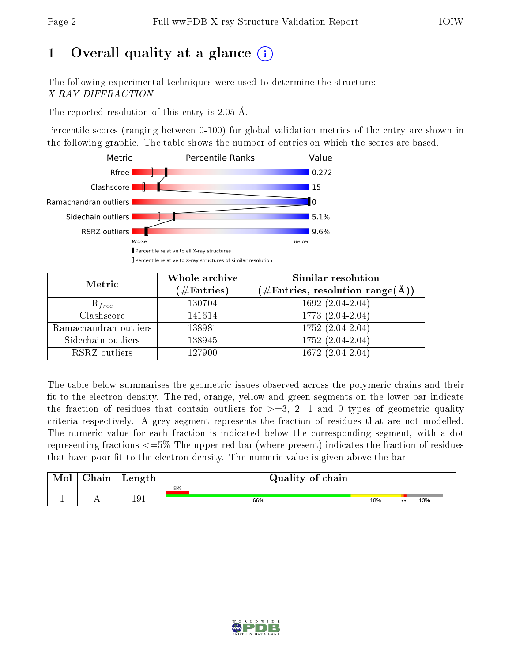# 1 [O](https://www.wwpdb.org/validation/2017/XrayValidationReportHelp#overall_quality)verall quality at a glance  $(i)$

The following experimental techniques were used to determine the structure: X-RAY DIFFRACTION

The reported resolution of this entry is 2.05 Å.

Percentile scores (ranging between 0-100) for global validation metrics of the entry are shown in the following graphic. The table shows the number of entries on which the scores are based.



| Metric                | Whole archive<br>$(\#Entries)$ | Similar resolution<br>$(\#\text{Entries},\, \text{resolution}\; \text{range}(\textup{\AA}))$ |
|-----------------------|--------------------------------|----------------------------------------------------------------------------------------------|
| $R_{free}$            | 130704                         | $1692(2.04-2.04)$                                                                            |
| Clashscore            | 141614                         | 1773 (2.04-2.04)                                                                             |
| Ramachandran outliers | 138981                         | $1752 (2.04 - 2.04)$                                                                         |
| Sidechain outliers    | 138945                         | 1752 (2.04-2.04)                                                                             |
| RSRZ outliers         | 127900                         | $1672(2.04-2.04)$                                                                            |

The table below summarises the geometric issues observed across the polymeric chains and their fit to the electron density. The red, orange, yellow and green segments on the lower bar indicate the fraction of residues that contain outliers for  $>=3, 2, 1$  and 0 types of geometric quality criteria respectively. A grey segment represents the fraction of residues that are not modelled. The numeric value for each fraction is indicated below the corresponding segment, with a dot representing fractions <=5% The upper red bar (where present) indicates the fraction of residues that have poor fit to the electron density. The numeric value is given above the bar.

| Mol | $\cap$ hain | Length | Quality of chain |     |                  |     |  |
|-----|-------------|--------|------------------|-----|------------------|-----|--|
| л.  | . .         | 191    | 8%<br>66%        | 18% | $\bullet\bullet$ | 13% |  |

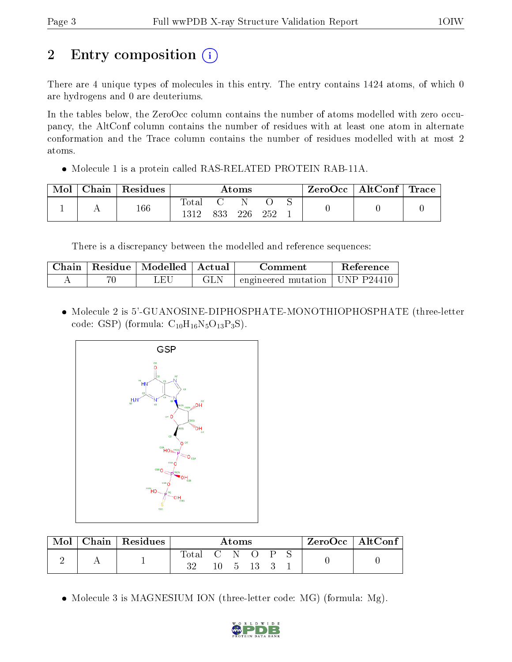# 2 Entry composition  $\left( \cdot \right)$

There are 4 unique types of molecules in this entry. The entry contains 1424 atoms, of which 0 are hydrogens and 0 are deuteriums.

In the tables below, the ZeroOcc column contains the number of atoms modelled with zero occupancy, the AltConf column contains the number of residues with at least one atom in alternate conformation and the Trace column contains the number of residues modelled with at most 2 atoms.

• Molecule 1 is a protein called RAS-RELATED PROTEIN RAB-11A.

| Mol | $ $ Chain $ $ Residues | Atoms         |     |       |      |  | $\text{ZeroOcc}$   AltConf   Trace |  |
|-----|------------------------|---------------|-----|-------|------|--|------------------------------------|--|
|     | 166                    | Total<br>1312 | 833 | -226- | -252 |  |                                    |  |

There is a discrepancy between the modelled and reference sequences:

| Chain | Residue   Modelled   Actual | Comment                                | <b>Reference</b> |
|-------|-----------------------------|----------------------------------------|------------------|
|       | $H^*$                       | $\pm$ engineered mutation   UNP P24410 |                  |

 Molecule 2 is 5'-GUANOSINE-DIPHOSPHATE-MONOTHIOPHOSPHATE (three-letter code: GSP) (formula:  $C_{10}H_{16}N_5O_{13}P_3S$ ).



| Mol | Chain   Residues | Atoms       |  |         |  | $ZeroOcc \mid AltConf \mid$ |  |  |
|-----|------------------|-------------|--|---------|--|-----------------------------|--|--|
|     |                  | Total C N O |  | $-5$ 13 |  | . P                         |  |  |

• Molecule 3 is MAGNESIUM ION (three-letter code: MG) (formula: Mg).

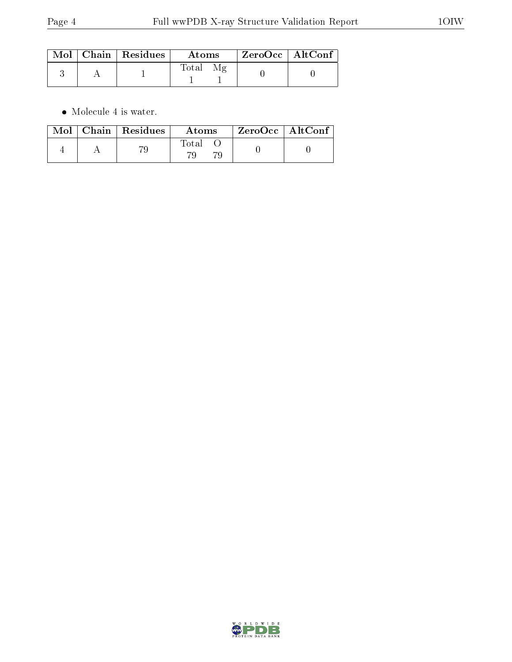|  | $\mid$ Mol $\mid$ Chain $\mid$ Residues $\mid$ | $\boldsymbol{\mathrm{Atoms}}$ | ZeroOcc   AltConf |  |
|--|------------------------------------------------|-------------------------------|-------------------|--|
|  |                                                | Total                         |                   |  |

 $\bullet\,$  Molecule 4 is water.

|  | $\text{Mol}$   Chain   Residues | Atoms | $ZeroOcc \   \ AltConf$ |  |
|--|---------------------------------|-------|-------------------------|--|
|  |                                 | Total |                         |  |

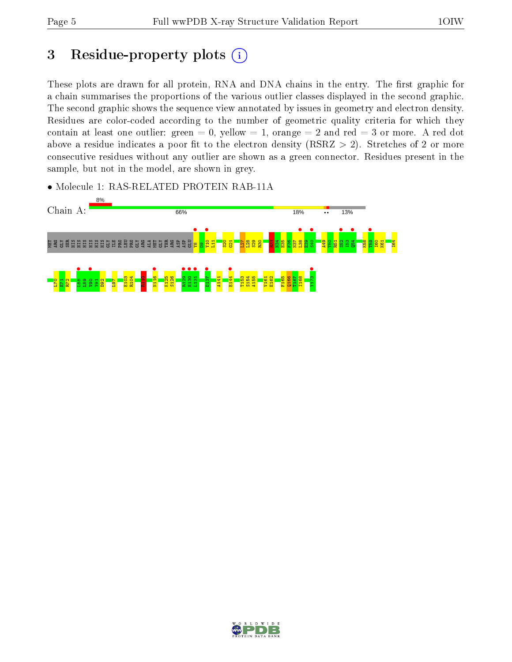# 3 Residue-property plots  $(i)$

These plots are drawn for all protein, RNA and DNA chains in the entry. The first graphic for a chain summarises the proportions of the various outlier classes displayed in the second graphic. The second graphic shows the sequence view annotated by issues in geometry and electron density. Residues are color-coded according to the number of geometric quality criteria for which they contain at least one outlier: green  $= 0$ , yellow  $= 1$ , orange  $= 2$  and red  $= 3$  or more. A red dot above a residue indicates a poor fit to the electron density (RSRZ  $> 2$ ). Stretches of 2 or more consecutive residues without any outlier are shown as a green connector. Residues present in the sample, but not in the model, are shown in grey.

• Molecule 1: RAS-RELATED PROTEIN RAB-11A



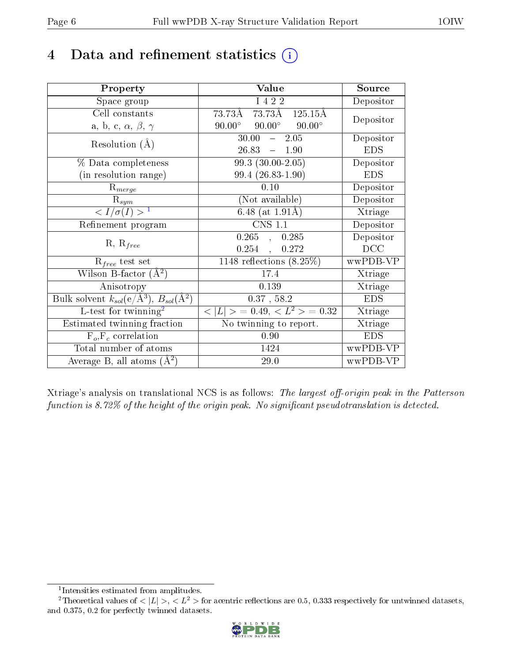# 4 Data and refinement statistics  $(i)$

| Property                                                         | Value                                            | Source     |
|------------------------------------------------------------------|--------------------------------------------------|------------|
| Space group                                                      | I 4 2 2                                          | Depositor  |
| Cell constants                                                   | 73.73Å 125.15Å<br>73.73Å                         | Depositor  |
| a, b, c, $\alpha$ , $\beta$ , $\gamma$                           | $90.00^{\circ}$ $90.00^{\circ}$<br>$90.00^\circ$ |            |
| Resolution $(A)$                                                 | $-2.05$<br>30.00                                 | Depositor  |
|                                                                  | 26.83<br>$-1.90$                                 | <b>EDS</b> |
| % Data completeness                                              | $99.3(30.00-2.05)$                               | Depositor  |
| (in resolution range)                                            | $99.4(26.83-1.90)$                               | <b>EDS</b> |
| $R_{merge}$                                                      | 0.10                                             | Depositor  |
| $\mathrm{R}_{sym}$                                               | (Not available)                                  | Depositor  |
| $\langle I/\sigma(I) \rangle^{-1}$                               | 6.48 (at $1.91\text{\AA}$ )                      | Xtriage    |
| Refinement program                                               | <b>CNS 1.1</b>                                   | Depositor  |
|                                                                  | $0.265$ , $\phantom{-}0.285$                     | Depositor  |
| $R, R_{free}$                                                    | $0.254$ ,<br>0.272                               | DCC        |
| $R_{free}$ test set                                              | $1148$ reflections $(8.25\%)$                    | wwPDB-VP   |
| Wilson B-factor $(A^2)$                                          | 17.4                                             | Xtriage    |
| Anisotropy                                                       | 0.139                                            | Xtriage    |
| Bulk solvent $k_{sol}(\text{e}/\text{A}^3), B_{sol}(\text{A}^2)$ | $0.37$ , 58.2                                    | <b>EDS</b> |
| L-test for twinning <sup>2</sup>                                 | $< L >$ = 0.49, $< L^2 >$ = 0.32                 | Xtriage    |
| Estimated twinning fraction                                      | $\overline{\text{No}}$ twinning to report.       | Xtriage    |
| $F_o, F_c$ correlation                                           | 0.90                                             | <b>EDS</b> |
| Total number of atoms                                            | 1424                                             | wwPDB-VP   |
| Average B, all atoms $(A^2)$                                     | 29.0                                             | wwPDB-VP   |

Xtriage's analysis on translational NCS is as follows: The largest off-origin peak in the Patterson function is 8.72% of the height of the origin peak. No significant pseudotranslation is detected.

<sup>&</sup>lt;sup>2</sup>Theoretical values of  $\langle |L| \rangle$ ,  $\langle L^2 \rangle$  for acentric reflections are 0.5, 0.333 respectively for untwinned datasets, and 0.375, 0.2 for perfectly twinned datasets.



<span id="page-5-1"></span><span id="page-5-0"></span><sup>1</sup> Intensities estimated from amplitudes.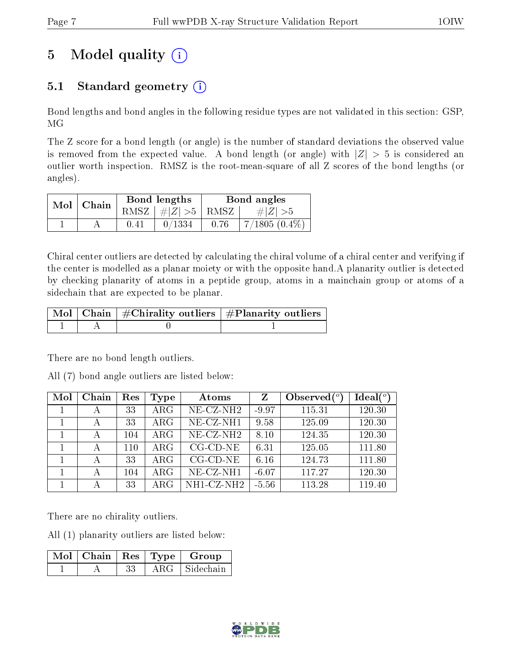# 5 Model quality  $(i)$

### 5.1 Standard geometry  $(i)$

Bond lengths and bond angles in the following residue types are not validated in this section: GSP, MG

The Z score for a bond length (or angle) is the number of standard deviations the observed value is removed from the expected value. A bond length (or angle) with  $|Z| > 5$  is considered an outlier worth inspection. RMSZ is the root-mean-square of all Z scores of the bond lengths (or angles).

| $Mol$   Chain |      | Bond lengths                | Bond angles |                 |  |
|---------------|------|-----------------------------|-------------|-----------------|--|
|               |      | $RMSZ \mid # Z  > 5$   RMSZ |             | $\# Z  > 5$     |  |
|               | 0.41 | 0/1334                      | 0.76        | $7/1805(0.4\%)$ |  |

Chiral center outliers are detected by calculating the chiral volume of a chiral center and verifying if the center is modelled as a planar moiety or with the opposite hand.A planarity outlier is detected by checking planarity of atoms in a peptide group, atoms in a mainchain group or atoms of a sidechain that are expected to be planar.

|  | $\mid$ Mol $\mid$ Chain $\mid$ #Chirality outliers $\mid$ #Planarity outliers $\mid$ |
|--|--------------------------------------------------------------------------------------|
|  |                                                                                      |

There are no bond length outliers.

All (7) bond angle outliers are listed below:

| Mol | Chain | Res | Type       | Atoms                          | Z       | Observed $(°)$ | Ideal(°) |
|-----|-------|-----|------------|--------------------------------|---------|----------------|----------|
|     | А     | 33  | $\rm{ARG}$ | $NE- CZ-NH2$                   | $-9.97$ | 115.31         | 120.30   |
|     | А     | 33  | $\rm{ARG}$ | NE-CZ-NH1                      | 9.58    | 125.09         | 120.30   |
|     | А     | 104 | $\rm{ARG}$ | $NE$ -CZ-NH <sub>2</sub>       | 8.10    | 124.35         | 120.30   |
|     | А     | 110 | $\rm{ARG}$ | $CG$ - $CD$ - $NE$             | 6.31    | 125.05         | 111.80   |
|     | А     | 33  | $\rm{ARG}$ | $CG$ - $CD$ - $NE$             | 6.16    | 124.73         | 111.80   |
|     | А     | 104 | $\rm{ARG}$ | $NE- CZ-NH1$                   | $-6.07$ | 117.27         | 120.30   |
|     | А     | 33  | $\rm{ARG}$ | $\overline{\text{NH1-CZ-NH2}}$ | $-5.56$ | 113.28         | 119.40   |

There are no chirality outliers.

All (1) planarity outliers are listed below:

|  |  | $\lceil \overline{\text{Mol}} \rceil$ Chain $\lceil \text{Res} \rceil$ Type $\lceil \text{Group} \rceil$ |
|--|--|----------------------------------------------------------------------------------------------------------|
|  |  | $\rm{ARG}\perp\rm{Sidechain}$                                                                            |

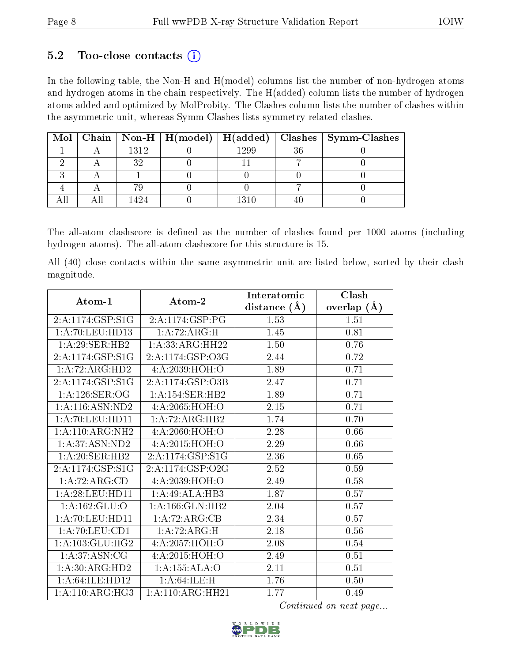#### 5.2 Too-close contacts  $(i)$

In the following table, the Non-H and H(model) columns list the number of non-hydrogen atoms and hydrogen atoms in the chain respectively. The H(added) column lists the number of hydrogen atoms added and optimized by MolProbity. The Clashes column lists the number of clashes within the asymmetric unit, whereas Symm-Clashes lists symmetry related clashes.

|  |      |      | Mol   Chain   Non-H   H(model)   H(added)   Clashes   Symm-Clashes |
|--|------|------|--------------------------------------------------------------------|
|  | 1312 | 1299 |                                                                    |
|  | າ ດ  |      |                                                                    |
|  |      |      |                                                                    |
|  |      |      |                                                                    |
|  | 424  | 1310 |                                                                    |

The all-atom clashscore is defined as the number of clashes found per 1000 atoms (including hydrogen atoms). The all-atom clashscore for this structure is 15.

All (40) close contacts within the same asymmetric unit are listed below, sorted by their clash magnitude.

| Atom-1                       | Atom-2                               | Interatomic      | Clash         |
|------------------------------|--------------------------------------|------------------|---------------|
|                              |                                      | distance $(\AA)$ | overlap $(A)$ |
| 2:A:1174:GSP:S1G             | 2:A:1174:GSP:PG                      | 1.53             | 1.51          |
| 1:A:70:LEU:HD13              | 1:A:72:ARG:H                         | 1.45             | 0.81          |
| 1:A:29:SER:HB2               | 1: A: 33: ARG: HH22                  | 1.50             | 0.76          |
| 2: A: 1174: GSP: S1G         | 2:A:1174:GSP:O3G                     | 2.44             | 0.72          |
| 1:A:72:ARG:HD2               | 4:A:2039:HOH:O                       | 1.89             | 0.71          |
| 2:A:1174:GSP:S1G             | 2:A:1174:GSP:O3B                     | 2.47             | 0.71          |
| 1: A:126: SER:OG             | 1:A:154:SER:HB2                      | 1.89             | 0.71          |
| 1:A:116:ASN:ND2              | 4: A:2065: HOH:O                     | 2.15             | 0.71          |
| 1: A:70:LEU:HD11             | 1:A:72:ARG:HB2                       | 1.74             | 0.70          |
| 1: A:110:ARG:NH2             | 4: A:2060:HOH:O                      | 2.28             | 0.66          |
| 1:A:37:ASN:ND2               | 4: A:2015: HOH:O                     | 2.29             | 0.66          |
| 1:A:20:SER:HB2               | 2:A:1174:GSP:S1G                     | 2.36             | 0.65          |
| 2:A:1174:GSP:S1G             | $2:A:1174:\overline{\text{GSP}:O2G}$ | 2.52             | 0.59          |
| 1:A:72:ARG:CD                | 4:A:2039:HOH:O                       | 2.49             | 0.58          |
| 1:A:28:LEU:HD11              | 1:A:49:ALA:HB3                       | 1.87             | $0.57\,$      |
| 1:A:162:GLU:O                | 1: A: 166: GLN: HB2                  | 2.04             | 0.57          |
| 1:A:70:LEU:HDI1              | 1:A:72:ARG:CB                        | 2.34             | 0.57          |
| 1: A:70: LEU:CD1             | 1:A:72:ARG:H                         | 2.18             | 0.56          |
| 1: A: 103: GLU: HG2          | 4:A:2057:HOH:O                       | 2.08             | 0.54          |
| 1: A:37: ASN: CG             | 4:A:2015:HOH:O                       | 2.49             | 0.51          |
| 1:A:30:ARG:HD2               | 1:A:155:ALA:O                        | 2.11             | 0.51          |
| 1:A:64:ILE:HD12              | 1:A:64:ILE:H                         | 1.76             | 0.50          |
| $1:A:110:ARG:\overline{HG3}$ | 1: A:110:ARG:HH21                    | 1.77             | 0.49          |

Continued on next page...

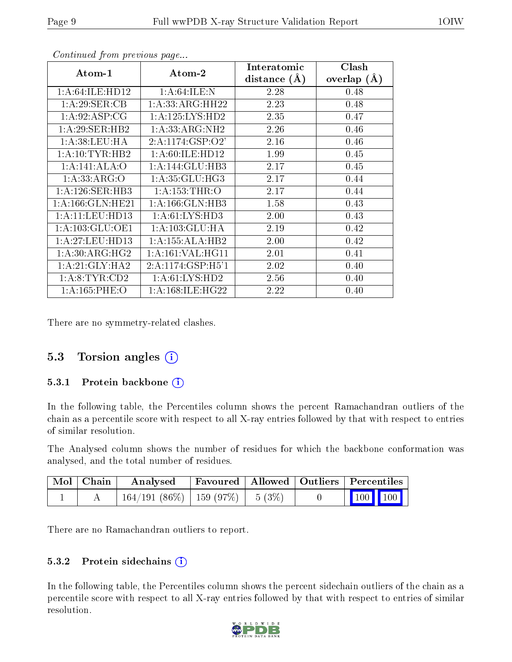|                      |                              | Interatomic    | Clash         |
|----------------------|------------------------------|----------------|---------------|
| Atom-1               | Atom-2                       | distance $(A)$ | overlap $(A)$ |
| 1: A:64:ILE:HD12     | 1: A:64:ILE:N                | 2.28           | 0.48          |
| 1: A:29: SER:CB      | 1: A: 33: ARG: HH22          | 2.23           | 0.48          |
| 1:A:92:ASP:CG        | 1: A: 125: LYS: HD2          | 2.35           | 0.47          |
| 1:A:29:SER:HB2       | 1:A:33:ARG:NH2               | 2.26           | 0.46          |
| 1: A:38:LEU:HA       | 2:A:1174:GSP:O2'             | 2.16           | 0.46          |
| 1: A: 10: TYR: HB2   | 1: A:60: ILE: HD12           | 1.99           | 0.45          |
| 1:A:141:ALA:O        | $1:A:144:GLU:H\overline{B3}$ | 2.17           | 0.45          |
| 1: A: 33: ARG: O     | 1: A:35: GLU:HG3             | 2.17           | 0.44          |
| 1:A:126:SER:HB3      | 1: A: 153: THR: O            | 2.17           | 0.44          |
| 1: A: 166: GLN: HE21 | 1: A: 166: GLN: HB3          | 1.58           | 0.43          |
| 1: A:11:LEV:HD13     | 1: A: 61: LYS: HD3           | 2.00           | 0.43          |
| 1: A: 103: GLU: OE1  | $1:A:103:GLU:\overline{HA}$  | 2.19           | 0.42          |
| 1:A:27:LEU:HD13      | 1:A:155:ALA:HB2              | 2.00           | 0.42          |
| 1: A:30: ARG: HG2    | 1: A:161: VAL:HGI1           | 2.01           | 0.41          |
| 1:A:21:GLY:HA2       | 2: A:1174: GSP:H5'1          | 2.02           | 0.40          |
| 1: A: 8: TYR: CD2    | 1: A:61: LYS: HD2            | 2.56           | 0.40          |
| 1: A: 165: PHE: O    | 1: A: 168: ILE: HG22         | 2.22           | 0.40          |

Continued from previous page...

There are no symmetry-related clashes.

#### 5.3 Torsion angles (i)

#### 5.3.1 Protein backbone (i)

In the following table, the Percentiles column shows the percent Ramachandran outliers of the chain as a percentile score with respect to all X-ray entries followed by that with respect to entries of similar resolution.

The Analysed column shows the number of residues for which the backbone conformation was analysed, and the total number of residues.

| Mol Chain | Analysed                               |  | Favoured   Allowed   Outliers   Percentiles |
|-----------|----------------------------------------|--|---------------------------------------------|
|           | $164/191(86\%)$   159 (97\%)   5 (3\%) |  | $\vert$ 100 100 $\vert$                     |

There are no Ramachandran outliers to report.

#### 5.3.2 Protein sidechains  $(i)$

In the following table, the Percentiles column shows the percent sidechain outliers of the chain as a percentile score with respect to all X-ray entries followed by that with respect to entries of similar resolution.

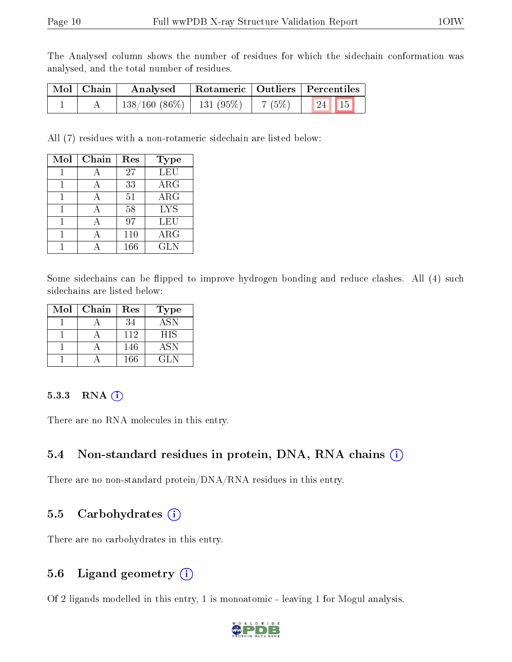The Analysed column shows the number of residues for which the sidechain conformation was analysed, and the total number of residues.

| Mol   Chain | Analysed                      |       | Rotameric   Outliers   Percentiles |  |
|-------------|-------------------------------|-------|------------------------------------|--|
|             | $138/160$ (86\%)   131 (95\%) | 7(5%) | $124$ 15                           |  |

All (7) residues with a non-rotameric sidechain are listed below:

| Mol | Chain | Res | <b>Type</b> |
|-----|-------|-----|-------------|
|     |       | 27  | <b>LEU</b>  |
|     |       | 33  | ARG         |
|     |       | 51  | ARG         |
|     |       | 58  | <b>LYS</b>  |
|     | А     | 97  | LEU         |
|     |       | 110 | ARG         |
|     |       | 166 | GLN         |

Some sidechains can be flipped to improve hydrogen bonding and reduce clashes. All (4) such sidechains are listed below:

| Mol | Chain | Res | Type       |
|-----|-------|-----|------------|
|     |       | 34  | <b>ASN</b> |
|     |       | 112 | HIS        |
|     |       | 146 | <b>ASN</b> |
|     |       | 166 | GL N       |

#### 5.3.3 RNA (i)

There are no RNA molecules in this entry.

#### 5.4 Non-standard residues in protein, DNA, RNA chains (i)

There are no non-standard protein/DNA/RNA residues in this entry.

#### 5.5 Carbohydrates  $(i)$

There are no carbohydrates in this entry.

#### 5.6 Ligand geometry (i)

Of 2 ligands modelled in this entry, 1 is monoatomic - leaving 1 for Mogul analysis.

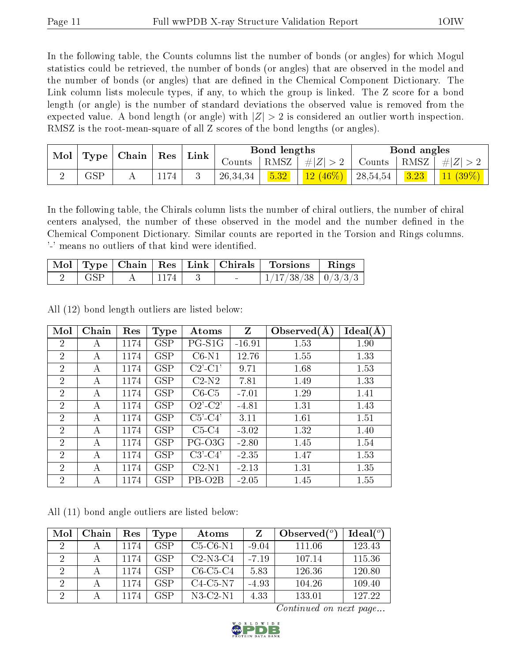In the following table, the Counts columns list the number of bonds (or angles) for which Mogul statistics could be retrieved, the number of bonds (or angles) that are observed in the model and the number of bonds (or angles) that are dened in the Chemical Component Dictionary. The Link column lists molecule types, if any, to which the group is linked. The Z score for a bond length (or angle) is the number of standard deviations the observed value is removed from the expected value. A bond length (or angle) with  $|Z| > 2$  is considered an outlier worth inspection. RMSZ is the root-mean-square of all Z scores of the bond lengths (or angles).

| Mol<br>Type |                      | Chain |      |  |            |      | Res                  | Link     |            | Bond lengths                               |  |  | Bond angles |  |
|-------------|----------------------|-------|------|--|------------|------|----------------------|----------|------------|--------------------------------------------|--|--|-------------|--|
|             |                      |       |      |  | Counts     | RMSZ | Z <br>$\#$           | Counts   | RMSZ       | #<br>Ζ                                     |  |  |             |  |
| ∼           | $\operatorname{GSP}$ | A     | L17. |  | 26, 34, 34 | 5.32 | $(46\%)$<br>$12\,$ ( | 28,54,54 | ചാ<br>3.23 | $(39\%)$<br>$\overline{41}$ $\overline{V}$ |  |  |             |  |

In the following table, the Chirals column lists the number of chiral outliers, the number of chiral centers analysed, the number of these observed in the model and the number defined in the Chemical Component Dictionary. Similar counts are reported in the Torsion and Rings columns. '-' means no outliers of that kind were identified.

|     |      |  | Mol   Type   Chain   Res   Link   Chirals   Torsions   Rings |  |
|-----|------|--|--------------------------------------------------------------|--|
| GSP | 1174 |  | $1/17/38/38$   $0/3/3/3$                                     |  |

All (12) bond length outliers are listed below:

| Mol            | Chain | Res  | Type                 | Atoms         | $\mathbf{Z}$ | Observed $(A)$ | Ideal(A) |
|----------------|-------|------|----------------------|---------------|--------------|----------------|----------|
| $\overline{2}$ | А     | 1174 | <b>GSP</b>           | $PG-S1G$      | $-16.91$     | 1.53           | 1.90     |
| $\overline{2}$ | А     | 1174 | <b>GSP</b>           | $C6-N1$       | 12.76        | 1.55           | 1.33     |
| $\overline{2}$ | А     | 1174 | <b>GSP</b>           | $C2'$ - $C1'$ | 9.71         | 1.68           | 1.53     |
| $\overline{2}$ | А     | 1174 | <b>GSP</b>           | $C2-N2$       | 7.81         | 1.49           | 1.33     |
| $\overline{2}$ | А     | 1174 | <b>GSP</b>           | $C6-C5$       | $-7.01$      | 1.29           | 1.41     |
| $\overline{2}$ | А     | 1174 | <b>GSP</b>           | $O2'-C2'$     | $-4.81$      | 1.31           | 1.43     |
| $\overline{2}$ | А     | 1174 | <b>GSP</b>           | $C5'-C4'$     | 3.11         | 1.61           | 1.51     |
| $\overline{2}$ | A     | 1174 | <b>GSP</b>           | $C5-C4$       | $-3.02$      | 1.32           | 1.40     |
| $\overline{2}$ | А     | 1174 | <b>GSP</b>           | PG-O3G        | $-2.80$      | 1.45           | 1.54     |
| $\overline{2}$ | А     | 1174 | <b>GSP</b>           | $C3'-C4'$     | $-2.35$      | 1.47           | 1.53     |
| $\overline{2}$ | А     | 1174 | <b>GSP</b>           | $C2-N1$       | $-2.13$      | 1.31           | 1.35     |
| $\overline{2}$ | А     | 1174 | $\operatorname{GSP}$ | PB-O2B        | $-2.05$      | 1.45           | 1.55     |

All (11) bond angle outliers are listed below:

| Mol            | Chain | Res  | Type       | Atoms      |         | Observed $(°)$ | Ideal(°) |
|----------------|-------|------|------------|------------|---------|----------------|----------|
| $\mathcal{D}$  |       | 1174 | <b>GSP</b> | $C5-C6-N1$ | $-9.04$ | 111.06         | 123.43   |
| 2              |       | 1174 | <b>GSP</b> | $C2-N3-C4$ | $-7.19$ | 107.14         | 115.36   |
| 2              |       | 1174 | <b>GSP</b> | $C6-C5-C4$ | 5.83    | 126.36         | 120.80   |
| 2              |       | 1174 | GSP        | $C4-C5-N7$ | $-4.93$ | 104.26         | 109.40   |
| $\overline{2}$ |       | 1174 | GSP        | $N3-C2-N1$ | 4.33    | 133.01         | 127.22   |

Continued on next page...

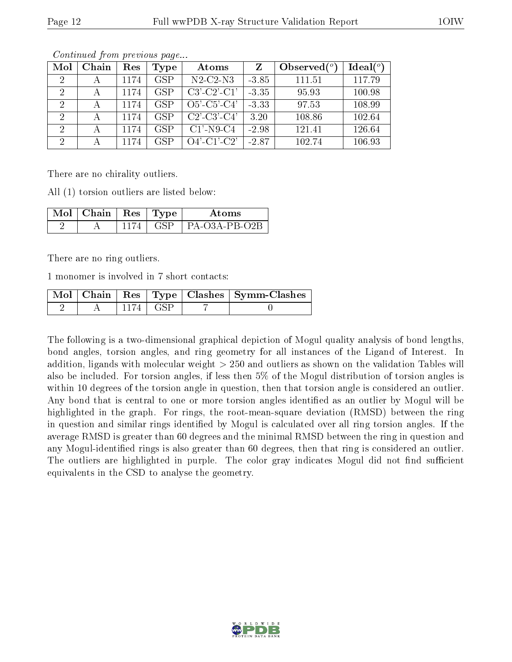| Mol            | Chain | Res  | Type       | Atoms                 | Z       | Observed $\binom{o}{c}$ | Ideal(°) |
|----------------|-------|------|------------|-----------------------|---------|-------------------------|----------|
|                |       | 1174 | <b>GSP</b> | $N2$ -C2- $N3$        | $-3.85$ | 111.51                  | 117.79   |
| $\overline{2}$ | А     | 1174 | <b>GSP</b> | $C3'-C2'-C1'$         | $-3.35$ | 95.93                   | 100.98   |
| 2              |       | 1174 | <b>GSP</b> | $O5'$ -C5'-C4'        | $-3.33$ | 97.53                   | 108.99   |
| $\overline{2}$ | А     | 1174 | <b>GSP</b> | $C2'$ - $C3'$ - $C4'$ | 3.20    | 108.86                  | 102.64   |
| 2              | А     | 1174 | <b>GSP</b> | $C1'$ -N9-C4          | $-2.98$ | 121.41                  | 126.64   |
| $\Omega$       |       | 1174 | <b>GSP</b> | $O4'$ -C1'-C2'        | $-2.87$ | 102.74                  | 106.93   |

Continued from previous page...

There are no chirality outliers.

All (1) torsion outliers are listed below:

| $\sqrt{\rm Mol}$   Chain   Res   Type $^+$ |  | A toms              |
|--------------------------------------------|--|---------------------|
|                                            |  | GSP   PA-03A-PB-02B |

There are no ring outliers.

1 monomer is involved in 7 short contacts:

|  |            | Mol   Chain   Res   Type   Clashes   Symm-Clashes |
|--|------------|---------------------------------------------------|
|  | 1174 L GSP |                                                   |

The following is a two-dimensional graphical depiction of Mogul quality analysis of bond lengths, bond angles, torsion angles, and ring geometry for all instances of the Ligand of Interest. In addition, ligands with molecular weight > 250 and outliers as shown on the validation Tables will also be included. For torsion angles, if less then 5% of the Mogul distribution of torsion angles is within 10 degrees of the torsion angle in question, then that torsion angle is considered an outlier. Any bond that is central to one or more torsion angles identified as an outlier by Mogul will be highlighted in the graph. For rings, the root-mean-square deviation (RMSD) between the ring in question and similar rings identified by Mogul is calculated over all ring torsion angles. If the average RMSD is greater than 60 degrees and the minimal RMSD between the ring in question and any Mogul-identied rings is also greater than 60 degrees, then that ring is considered an outlier. The outliers are highlighted in purple. The color gray indicates Mogul did not find sufficient equivalents in the CSD to analyse the geometry.

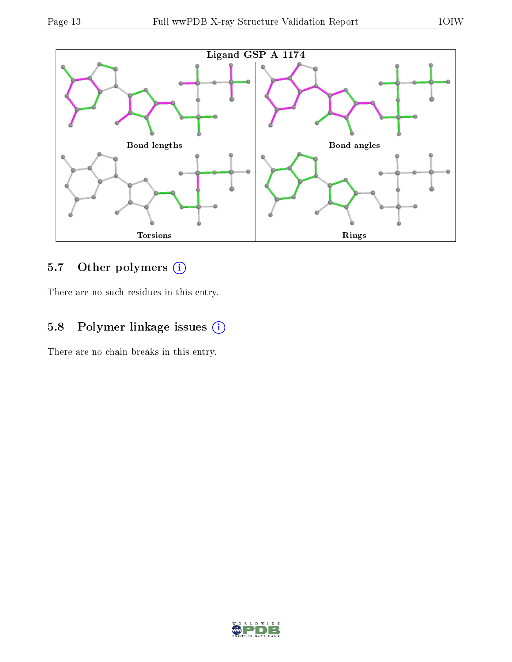

### 5.7 [O](https://www.wwpdb.org/validation/2017/XrayValidationReportHelp#nonstandard_residues_and_ligands)ther polymers (i)

There are no such residues in this entry.

### 5.8 Polymer linkage issues (i)

There are no chain breaks in this entry.

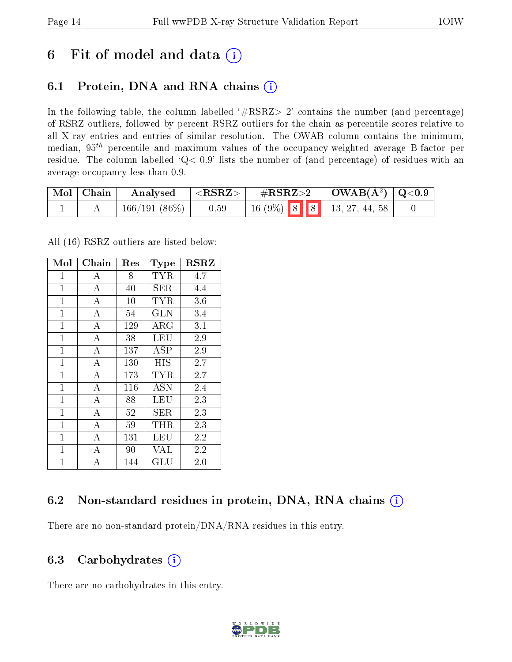## 6 Fit of model and data  $(i)$

### 6.1 Protein, DNA and RNA chains  $(i)$

In the following table, the column labelled  $#RSRZ> 2'$  contains the number (and percentage) of RSRZ outliers, followed by percent RSRZ outliers for the chain as percentile scores relative to all X-ray entries and entries of similar resolution. The OWAB column contains the minimum, median,  $95<sup>th</sup>$  percentile and maximum values of the occupancy-weighted average B-factor per residue. The column labelled  $Q< 0.9$  lists the number of (and percentage) of residues with an average occupancy less than 0.9.

| $\mid$ Mol $\mid$ Chain | Analysed        | ${ <\hspace{-1.5pt}{\mathrm{RSRZ}} \hspace{-1.5pt}>}$ . | $\rm \#RSRZ{>}2$ |  | $\vert$ OWAB( $\rm{\AA}^{2}$ ) $\vert$ Q<0.9 |                                                                                                |  |
|-------------------------|-----------------|---------------------------------------------------------|------------------|--|----------------------------------------------|------------------------------------------------------------------------------------------------|--|
|                         | $166/191(86\%)$ | 0.59                                                    |                  |  |                                              | $\begin{array}{ c c c c c c c c } \hline 16 & 9\% & 8 & 8 & 13, 27, 44, 58 \hline \end{array}$ |  |

All (16) RSRZ outliers are listed below:

| Mol            | ${\rm Chain}$      | $\operatorname{Res}% \left( \mathcal{N}\right) \equiv\operatorname{Res}(\mathcal{N}_{0},\mathcal{N}_{0})$ | Type                 | <b>RSRZ</b> |
|----------------|--------------------|-----------------------------------------------------------------------------------------------------------|----------------------|-------------|
| $\overline{1}$ | А                  | 8                                                                                                         | TYR                  | 4.7         |
| $\mathbf{1}$   | $\boldsymbol{A}$   | 40                                                                                                        | SER                  | 4.4         |
| $\mathbf{1}$   | $\boldsymbol{A}$   | 10                                                                                                        | TYR                  | 3.6         |
| $\mathbf{1}$   | $\bf{A}$           | 54                                                                                                        | <b>GLN</b>           | 3.4         |
| $\mathbf{1}$   | $\overline{\rm A}$ | 129                                                                                                       | $\rm{ARG}$           | 3.1         |
| $\mathbf 1$    | А                  | 38                                                                                                        | LEU                  | 2.9         |
| $\mathbf{1}$   | $\overline{A}$     | 137                                                                                                       | ASP                  | 2.9         |
| $\mathbf{1}$   | $\overline{A}$     | 130                                                                                                       | HIS                  | 2.7         |
| $\mathbf{1}$   | $\bf{A}$           | 173                                                                                                       | TYR                  | 2.7         |
| $\mathbf{1}$   | $\overline{A}$     | 116                                                                                                       | <b>ASN</b>           | 2.4         |
| $\mathbf{1}$   | А                  | 88                                                                                                        | LEU                  | 2.3         |
| $\overline{1}$ | A                  | 52                                                                                                        | SER                  | 2.3         |
| $\mathbf{1}$   | $\boldsymbol{A}$   | 59                                                                                                        | $\rm THR$            | 2.3         |
| $\mathbf{1}$   | $\bf{A}$           | 131                                                                                                       | LEU                  | 2.2         |
| $\mathbf{1}$   | $\bf{A}$           | 90                                                                                                        | VAL                  | 2.2         |
| $\overline{1}$ | A                  | 144                                                                                                       | $\operatorname{GLU}$ | 2.0         |

#### 6.2 Non-standard residues in protein, DNA, RNA chains  $(i)$

There are no non-standard protein/DNA/RNA residues in this entry.

#### 6.3 Carbohydrates (i)

There are no carbohydrates in this entry.